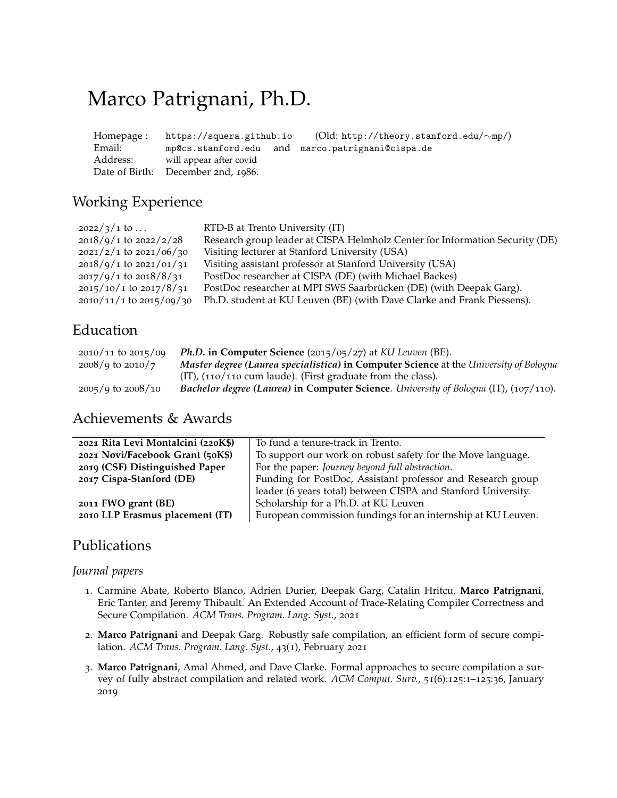# Marco Patrignani, Ph.D.

| Homepage : | https://squera.github.io           |  | (Old: http://theory.stanford.edu/ $\sim$ mp/)    |
|------------|------------------------------------|--|--------------------------------------------------|
| Email:     |                                    |  | mp@cs.stanford.edu and marco.patrignani@cispa.de |
| Address:   | will appear after covid            |  |                                                  |
|            | Date of Birth: December 2nd, 1986. |  |                                                  |

# Working Experience

| RTD-B at Trento University (IT)                                              |
|------------------------------------------------------------------------------|
| Research group leader at CISPA Helmholz Center for Information Security (DE) |
| Visiting lecturer at Stanford University (USA)                               |
| Visiting assistant professor at Stanford University (USA)                    |
| PostDoc researcher at CISPA (DE) (with Michael Backes)                       |
| PostDoc researcher at MPI SWS Saarbrücken (DE) (with Deepak Garg).           |
| Ph.D. student at KU Leuven (BE) (with Dave Clarke and Frank Piessens).       |
|                                                                              |

# Education

| $2010/11$ to $2015/09$ | <i>Ph.D.</i> in Computer Science (2015/05/27) at KU Leuven (BE).                        |
|------------------------|-----------------------------------------------------------------------------------------|
| $2008/q$ to $2010/7$   | Master degree (Laurea specialistica) in Computer Science at the University of Bologna   |
|                        | $(IT)$ , $(110/110$ cum laude). (First graduate from the class).                        |
| $2005/9$ to $2008/10$  | Bachelor degree (Laurea) in Computer Science. University of Bologna (IT), $(107/110)$ . |

# Achievements & Awards

| 2021 Rita Levi Montalcini (220K\$) | To fund a tenure-track in Trento.                             |  |
|------------------------------------|---------------------------------------------------------------|--|
| 2021 Novi/Facebook Grant (50K\$)   | To support our work on robust safety for the Move language.   |  |
| 2019 (CSF) Distinguished Paper     | For the paper: Journey beyond full abstraction.               |  |
| 2017 Cispa-Stanford (DE)           | Funding for PostDoc, Assistant professor and Research group   |  |
|                                    | leader (6 years total) between CISPA and Stanford University. |  |
| 2011 FWO grant (BE)                | Scholarship for a Ph.D. at KU Leuven                          |  |
| 2010 LLP Erasmus placement (IT)    | European commission fundings for an internship at KU Leuven.  |  |

# Publications

### *Journal papers*

- 1. Carmine Abate, Roberto Blanco, Adrien Durier, Deepak Garg, Catalin Hritcu, **Marco Patrignani**, Eric Tanter, and Jeremy Thibault. An Extended Account of Trace-Relating Compiler Correctness and Secure Compilation. *ACM Trans. Program. Lang. Syst.*, 2021
- 2. **Marco Patrignani** and Deepak Garg. Robustly safe compilation, an efficient form of secure compilation. *ACM Trans. Program. Lang. Syst.*, 43(1), February 2021
- 3. **Marco Patrignani**, Amal Ahmed, and Dave Clarke. Formal approaches to secure compilation a survey of fully abstract compilation and related work. *ACM Comput. Surv.*, 51(6):125:1–125:36, January 2019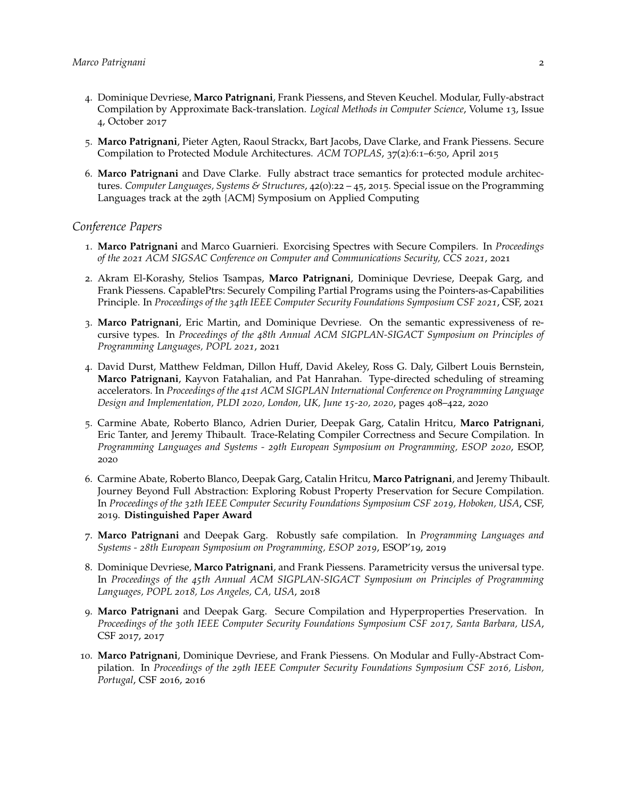- 4. Dominique Devriese, **Marco Patrignani**, Frank Piessens, and Steven Keuchel. Modular, Fully-abstract Compilation by Approximate Back-translation. *Logical Methods in Computer Science*, Volume 13, Issue 4, October 2017
- 5. **Marco Patrignani**, Pieter Agten, Raoul Strackx, Bart Jacobs, Dave Clarke, and Frank Piessens. Secure Compilation to Protected Module Architectures. *ACM TOPLAS*, 37(2):6:1–6:50, April 2015
- 6. **Marco Patrignani** and Dave Clarke. Fully abstract trace semantics for protected module architectures. *Computer Languages, Systems & Structures*, 42(0):22 – 45, 2015. Special issue on the Programming Languages track at the 29th {ACM} Symposium on Applied Computing

#### *Conference Papers*

- 1. **Marco Patrignani** and Marco Guarnieri. Exorcising Spectres with Secure Compilers. In *Proceedings of the 2021 ACM SIGSAC Conference on Computer and Communications Security, CCS 2021*, 2021
- 2. Akram El-Korashy, Stelios Tsampas, **Marco Patrignani**, Dominique Devriese, Deepak Garg, and Frank Piessens. CapablePtrs: Securely Compiling Partial Programs using the Pointers-as-Capabilities Principle. In *Proceedings of the 34th IEEE Computer Security Foundations Symposium CSF 2021*, CSF, 2021
- 3. **Marco Patrignani**, Eric Martin, and Dominique Devriese. On the semantic expressiveness of recursive types. In *Proceedings of the 48th Annual ACM SIGPLAN-SIGACT Symposium on Principles of Programming Languages, POPL 2021*, 2021
- 4. David Durst, Matthew Feldman, Dillon Huff, David Akeley, Ross G. Daly, Gilbert Louis Bernstein, **Marco Patrignani**, Kayvon Fatahalian, and Pat Hanrahan. Type-directed scheduling of streaming accelerators. In *Proceedings of the 41st ACM SIGPLAN International Conference on Programming Language Design and Implementation, PLDI 2020, London, UK, June 15-20, 2020*, pages 408–422, 2020
- 5. Carmine Abate, Roberto Blanco, Adrien Durier, Deepak Garg, Catalin Hritcu, **Marco Patrignani**, Eric Tanter, and Jeremy Thibault. Trace-Relating Compiler Correctness and Secure Compilation. In *Programming Languages and Systems - 29th European Symposium on Programming, ESOP 2020*, ESOP, 2020
- 6. Carmine Abate, Roberto Blanco, Deepak Garg, Catalin Hritcu, **Marco Patrignani**, and Jeremy Thibault. Journey Beyond Full Abstraction: Exploring Robust Property Preservation for Secure Compilation. In *Proceedings of the 32th IEEE Computer Security Foundations Symposium CSF 2019, Hoboken, USA*, CSF, 2019. **Distinguished Paper Award**
- 7. **Marco Patrignani** and Deepak Garg. Robustly safe compilation. In *Programming Languages and Systems - 28th European Symposium on Programming, ESOP 2019*, ESOP'19, 2019
- 8. Dominique Devriese, **Marco Patrignani**, and Frank Piessens. Parametricity versus the universal type. In *Proceedings of the 45th Annual ACM SIGPLAN-SIGACT Symposium on Principles of Programming Languages, POPL 2018, Los Angeles, CA, USA*, 2018
- 9. **Marco Patrignani** and Deepak Garg. Secure Compilation and Hyperproperties Preservation. In *Proceedings of the 30th IEEE Computer Security Foundations Symposium CSF 2017, Santa Barbara, USA*, CSF 2017, 2017
- 10. **Marco Patrignani**, Dominique Devriese, and Frank Piessens. On Modular and Fully-Abstract Compilation. In *Proceedings of the 29th IEEE Computer Security Foundations Symposium CSF 2016, Lisbon, Portugal*, CSF 2016, 2016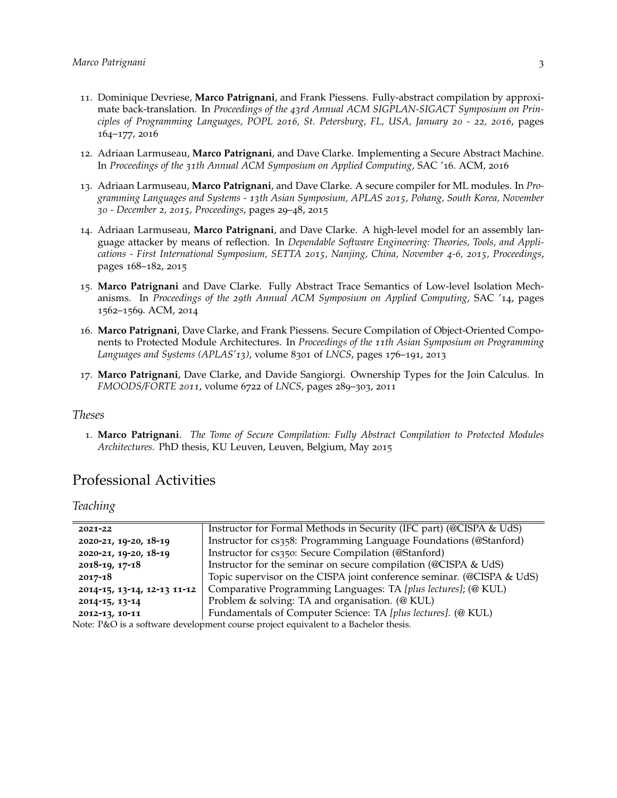- 11. Dominique Devriese, **Marco Patrignani**, and Frank Piessens. Fully-abstract compilation by approximate back-translation. In *Proceedings of the 43rd Annual ACM SIGPLAN-SIGACT Symposium on Principles of Programming Languages, POPL 2016, St. Petersburg, FL, USA, January 20 - 22, 2016*, pages 164–177, 2016
- 12. Adriaan Larmuseau, **Marco Patrignani**, and Dave Clarke. Implementing a Secure Abstract Machine. In *Proceedings of the 31th Annual ACM Symposium on Applied Computing*, SAC '16. ACM, 2016
- 13. Adriaan Larmuseau, **Marco Patrignani**, and Dave Clarke. A secure compiler for ML modules. In *Programming Languages and Systems - 13th Asian Symposium, APLAS 2015, Pohang, South Korea, November 30 - December 2, 2015, Proceedings*, pages 29–48, 2015
- 14. Adriaan Larmuseau, **Marco Patrignani**, and Dave Clarke. A high-level model for an assembly language attacker by means of reflection. In *Dependable Software Engineering: Theories, Tools, and Applications - First International Symposium, SETTA 2015, Nanjing, China, November 4-6, 2015, Proceedings*, pages 168–182, 2015
- 15. **Marco Patrignani** and Dave Clarke. Fully Abstract Trace Semantics of Low-level Isolation Mechanisms. In *Proceedings of the 29th Annual ACM Symposium on Applied Computing*, SAC '14, pages 1562–1569. ACM, 2014
- 16. **Marco Patrignani**, Dave Clarke, and Frank Piessens. Secure Compilation of Object-Oriented Components to Protected Module Architectures. In *Proceedings of the 11th Asian Symposium on Programming Languages and Systems (APLAS'13)*, volume 8301 of *LNCS*, pages 176–191, 2013
- 17. **Marco Patrignani**, Dave Clarke, and Davide Sangiorgi. Ownership Types for the Join Calculus. In *FMOODS/FORTE 2011*, volume 6722 of *LNCS*, pages 289–303, 2011

#### *Theses*

1. **Marco Patrignani**. *The Tome of Secure Compilation: Fully Abstract Compilation to Protected Modules Architectures*. PhD thesis, KU Leuven, Leuven, Belgium, May 2015

### Professional Activities

*Teaching*

| 2021-22                                                                                                                                        | Instructor for Formal Methods in Security (IFC part) (@CISPA & UdS)    |
|------------------------------------------------------------------------------------------------------------------------------------------------|------------------------------------------------------------------------|
| 2020-21, 19-20, 18-19                                                                                                                          | Instructor for cs358: Programming Language Foundations (@Stanford)     |
| 2020-21, 19-20, 18-19                                                                                                                          | Instructor for cs350: Secure Compilation (@Stanford)                   |
| $2018 - 19, 17 - 18$                                                                                                                           | Instructor for the seminar on secure compilation (@CISPA & UdS)        |
| $2017 - 18$                                                                                                                                    | Topic supervisor on the CISPA joint conference seminar. (@CISPA & UdS) |
| 2014-15, 13-14, 12-13 11-12                                                                                                                    | Comparative Programming Languages: TA [plus lectures]; (@ KUL)         |
| 2014-15, 13-14                                                                                                                                 | Problem & solving: TA and organisation. (@ KUL)                        |
| 2012-13, 10-11                                                                                                                                 | Fundamentals of Computer Science: TA [plus lectures]. (@ KUL)          |
| $\mathbf{r}$ $\mathbf{r}$ $\mathbf{r}$ $\mathbf{r}$ $\mathbf{r}$ $\mathbf{r}$ $\mathbf{r}$ $\mathbf{r}$ $\mathbf{r}$ $\mathbf{r}$ $\mathbf{r}$ | $\cdots$ $\cdots$ $\cdots$ $\cdots$                                    |

Note: P&O is a software development course project equivalent to a Bachelor thesis.